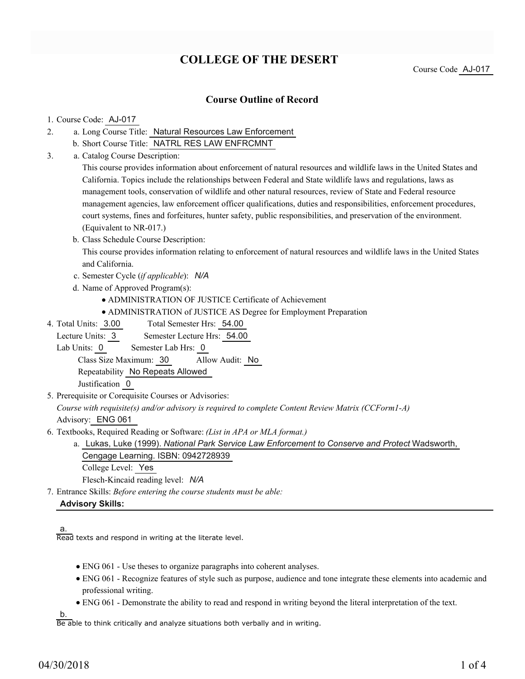# **COLLEGE OF THE DESERT**

Course Code AJ-017

### **Course Outline of Record**

#### 1. Course Code: AJ-017

- a. Long Course Title: Natural Resources Law Enforcement 2.
	- b. Short Course Title: NATRL RES LAW ENFRCMNT
- Catalog Course Description: a. 3.

This course provides information about enforcement of natural resources and wildlife laws in the United States and California. Topics include the relationships between Federal and State wildlife laws and regulations, laws as management tools, conservation of wildlife and other natural resources, review of State and Federal resource management agencies, law enforcement officer qualifications, duties and responsibilities, enforcement procedures, court systems, fines and forfeitures, hunter safety, public responsibilities, and preservation of the environment. (Equivalent to NR-017.)

b. Class Schedule Course Description:

This course provides information relating to enforcement of natural resources and wildlife laws in the United States and California.

- c. Semester Cycle (*if applicable*): *N/A*
- d. Name of Approved Program(s):
	- ADMINISTRATION OF JUSTICE Certificate of Achievement
	- ADMINISTRATION of JUSTICE AS Degree for Employment Preparation
- Total Semester Hrs: 54.00 4. Total Units: 3.00

Lecture Units: 3 Semester Lecture Hrs: 54.00

Lab Units: 0 Semester Lab Hrs: 0

Class Size Maximum: 30 Allow Audit: No

Repeatability No Repeats Allowed

Justification 0

5. Prerequisite or Corequisite Courses or Advisories:

*Course with requisite(s) and/or advisory is required to complete Content Review Matrix (CCForm1-A)* Advisory: ENG 061

Textbooks, Required Reading or Software: *(List in APA or MLA format.)* 6.

a. Lukas, Luke (1999). *National Park Service Law Enforcement to Conserve and Protect* Wadsworth, Cengage Learning. ISBN: 0942728939 College Level: Yes

Flesch-Kincaid reading level: *N/A*

Entrance Skills: *Before entering the course students must be able:* 7.

#### **Advisory Skills:**

a. Read texts and respond in writing at the literate level.

- ENG 061 Use theses to organize paragraphs into coherent analyses.
- ENG 061 Recognize features of style such as purpose, audience and tone integrate these elements into academic and professional writing.
- ENG 061 Demonstrate the ability to read and respond in writing beyond the literal interpretation of the text.

b.

Be able to think critically and analyze situations both verbally and in writing.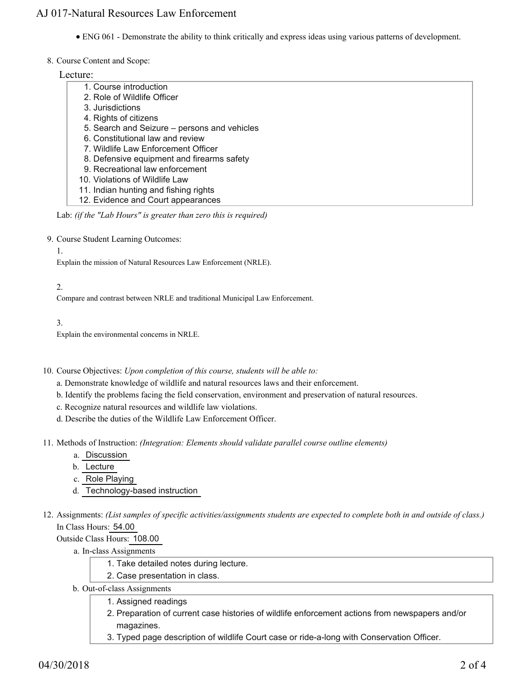## AJ 017-Natural Resources Law Enforcement

- ENG 061 Demonstrate the ability to think critically and express ideas using various patterns of development.
- 8. Course Content and Scope:

Lecture:

| 1. Course introduction                       |
|----------------------------------------------|
| 2. Role of Wildlife Officer                  |
| 3. Jurisdictions                             |
| 4. Rights of citizens                        |
| 5. Search and Seizure – persons and vehicles |
| 6. Constitutional law and review             |
| 7. Wildlife Law Enforcement Officer          |
| 8. Defensive equipment and firearms safety   |
| 9. Recreational law enforcement              |
| 10. Violations of Wildlife Law               |
| 11. Indian hunting and fishing rights        |
| 12. Evidence and Court appearances           |

Lab: *(if the "Lab Hours" is greater than zero this is required)*

9. Course Student Learning Outcomes:

1.

Explain the mission of Natural Resources Law Enforcement (NRLE).

2.

Compare and contrast between NRLE and traditional Municipal Law Enforcement.

3.

Explain the environmental concerns in NRLE.

10. Course Objectives: Upon completion of this course, students will be able to:

- a. Demonstrate knowledge of wildlife and natural resources laws and their enforcement.
- b. Identify the problems facing the field conservation, environment and preservation of natural resources.
- c. Recognize natural resources and wildlife law violations.
- d. Describe the duties of the Wildlife Law Enforcement Officer.
- 11. Methods of Instruction: *(Integration: Elements should validate parallel course outline elements)* 
	- a. Discussion
	- b. Lecture
	- c. Role Playing
	- d. Technology-based instruction
- 12. Assignments: (List samples of specific activities/assignments students are expected to complete both in and outside of class.) In Class Hours: 54.00

Outside Class Hours: 108.00

a. In-class Assignments

- 1. Take detailed notes during lecture.
- 2. Case presentation in class.
- b. Out-of-class Assignments
	- 1. Assigned readings
		- 2. Preparation of current case histories of wildlife enforcement actions from newspapers and/or magazines.
		- 3. Typed page description of wildlife Court case or ride-a-long with Conservation Officer.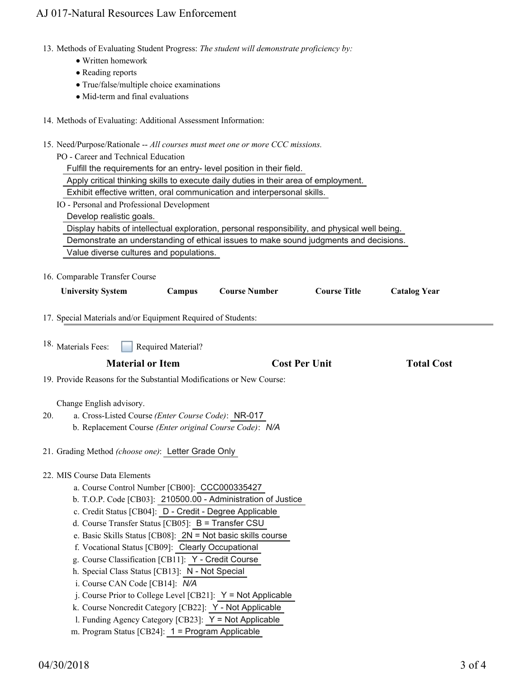## AJ 017-Natural Resources Law Enforcement

- 13. Methods of Evaluating Student Progress: The student will demonstrate proficiency by:
	- Written homework
	- Reading reports
	- True/false/multiple choice examinations
	- $\bullet$  Mid-term and final evaluations
- 14. Methods of Evaluating: Additional Assessment Information:
- 15. Need/Purpose/Rationale -- All courses must meet one or more CCC missions.

|                                                                                                                    | appose Kationare 71th courses must meet one or more occurrissic                               |                      |                      |                     |                     |  |  |  |
|--------------------------------------------------------------------------------------------------------------------|-----------------------------------------------------------------------------------------------|----------------------|----------------------|---------------------|---------------------|--|--|--|
| PO - Career and Technical Education                                                                                |                                                                                               |                      |                      |                     |                     |  |  |  |
|                                                                                                                    | Fulfill the requirements for an entry- level position in their field.                         |                      |                      |                     |                     |  |  |  |
|                                                                                                                    | Apply critical thinking skills to execute daily duties in their area of employment.           |                      |                      |                     |                     |  |  |  |
|                                                                                                                    | Exhibit effective written, oral communication and interpersonal skills.                       |                      |                      |                     |                     |  |  |  |
|                                                                                                                    | IO - Personal and Professional Development                                                    |                      |                      |                     |                     |  |  |  |
|                                                                                                                    | Develop realistic goals.                                                                      |                      |                      |                     |                     |  |  |  |
|                                                                                                                    | Display habits of intellectual exploration, personal responsibility, and physical well being. |                      |                      |                     |                     |  |  |  |
|                                                                                                                    | Demonstrate an understanding of ethical issues to make sound judgments and decisions.         |                      |                      |                     |                     |  |  |  |
|                                                                                                                    | Value diverse cultures and populations.                                                       |                      |                      |                     |                     |  |  |  |
|                                                                                                                    |                                                                                               |                      |                      |                     |                     |  |  |  |
|                                                                                                                    | 16. Comparable Transfer Course                                                                |                      |                      |                     |                     |  |  |  |
|                                                                                                                    | Campus<br><b>University System</b>                                                            | <b>Course Number</b> |                      | <b>Course Title</b> | <b>Catalog Year</b> |  |  |  |
|                                                                                                                    |                                                                                               |                      |                      |                     |                     |  |  |  |
|                                                                                                                    | 17. Special Materials and/or Equipment Required of Students:                                  |                      |                      |                     |                     |  |  |  |
|                                                                                                                    |                                                                                               |                      |                      |                     |                     |  |  |  |
|                                                                                                                    | <sup>18.</sup> Materials Fees:<br>Required Material?                                          |                      |                      |                     |                     |  |  |  |
|                                                                                                                    |                                                                                               |                      |                      |                     |                     |  |  |  |
|                                                                                                                    | <b>Material or Item</b>                                                                       |                      | <b>Cost Per Unit</b> |                     | <b>Total Cost</b>   |  |  |  |
|                                                                                                                    | 19. Provide Reasons for the Substantial Modifications or New Course:                          |                      |                      |                     |                     |  |  |  |
|                                                                                                                    |                                                                                               |                      |                      |                     |                     |  |  |  |
|                                                                                                                    | Change English advisory.                                                                      |                      |                      |                     |                     |  |  |  |
| 20.                                                                                                                | a. Cross-Listed Course (Enter Course Code): NR-017                                            |                      |                      |                     |                     |  |  |  |
|                                                                                                                    | b. Replacement Course (Enter original Course Code): N/A                                       |                      |                      |                     |                     |  |  |  |
|                                                                                                                    |                                                                                               |                      |                      |                     |                     |  |  |  |
|                                                                                                                    | 21. Grading Method (choose one): Letter Grade Only                                            |                      |                      |                     |                     |  |  |  |
|                                                                                                                    |                                                                                               |                      |                      |                     |                     |  |  |  |
|                                                                                                                    | 22. MIS Course Data Elements                                                                  |                      |                      |                     |                     |  |  |  |
|                                                                                                                    | a. Course Control Number [CB00]: CCC000335427                                                 |                      |                      |                     |                     |  |  |  |
| b. T.O.P. Code [CB03]: 210500.00 - Administration of Justice                                                       |                                                                                               |                      |                      |                     |                     |  |  |  |
|                                                                                                                    | c. Credit Status [CB04]: D - Credit - Degree Applicable                                       |                      |                      |                     |                     |  |  |  |
|                                                                                                                    | d. Course Transfer Status [CB05]: B = Transfer CSU                                            |                      |                      |                     |                     |  |  |  |
|                                                                                                                    | e. Basic Skills Status [CB08]: $2N = Not$ basic skills course                                 |                      |                      |                     |                     |  |  |  |
|                                                                                                                    | f. Vocational Status [CB09]: Clearly Occupational                                             |                      |                      |                     |                     |  |  |  |
|                                                                                                                    | g. Course Classification [CB11]: Y - Credit Course                                            |                      |                      |                     |                     |  |  |  |
|                                                                                                                    | h. Special Class Status [CB13]: N - Not Special                                               |                      |                      |                     |                     |  |  |  |
|                                                                                                                    | i. Course CAN Code [CB14]: N/A                                                                |                      |                      |                     |                     |  |  |  |
| j. Course Prior to College Level [CB21]: $Y = Not Applicable$                                                      |                                                                                               |                      |                      |                     |                     |  |  |  |
| k. Course Noncredit Category [CB22]: Y - Not Applicable<br>1. Funding Agency Category [CB23]: $Y = Not$ Applicable |                                                                                               |                      |                      |                     |                     |  |  |  |
| m. Program Status [CB24]: 1 = Program Applicable                                                                   |                                                                                               |                      |                      |                     |                     |  |  |  |
|                                                                                                                    |                                                                                               |                      |                      |                     |                     |  |  |  |